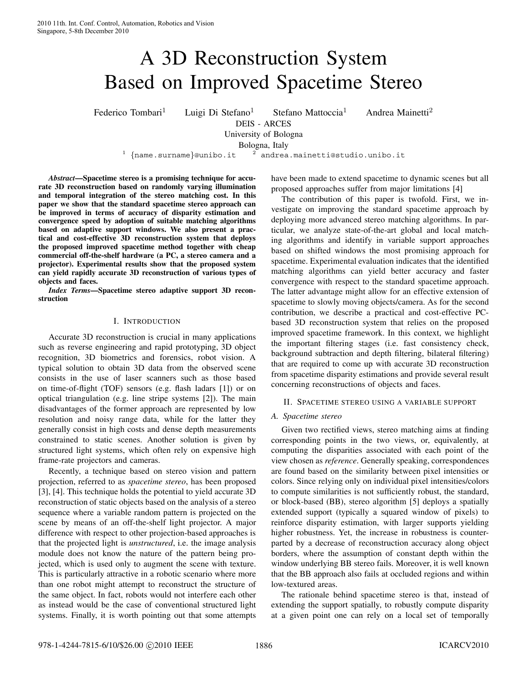# A 3D Reconstruction System Based on Improved Spacetime Stereo

Federico Tombari<sup>1</sup> Luigi Di Stefano<sup>1</sup> Stefano Mattoccia<sup>1</sup> Andrea Mainetti<sup>2</sup>

DEIS - ARCES

University of Bologna

Bologna, Italy

<sup>1</sup> *{*name.surname*}*@unibo.it <sup>2</sup> andrea.mainetti@studio.unibo.it

*Abstract***—Spacetime stereo is a promising technique for accurate 3D reconstruction based on randomly varying illumination and temporal integration of the stereo matching cost. In this paper we show that the standard spacetime stereo approach can be improved in terms of accuracy of disparity estimation and convergence speed by adoption of suitable matching algorithms based on adaptive support windows. We also present a practical and cost-effective 3D reconstruction system that deploys the proposed improved spacetime method together with cheap commercial off-the-shelf hardware (a PC, a stereo camera and a projector). Experimental results show that the proposed system can yield rapidly accurate 3D reconstruction of various types of objects and faces.**

*Index Terms***—Spacetime stereo adaptive support 3D reconstruction**

## I. INTRODUCTION

Accurate 3D reconstruction is crucial in many applications such as reverse engineering and rapid prototyping, 3D object recognition, 3D biometrics and forensics, robot vision. A typical solution to obtain 3D data from the observed scene consists in the use of laser scanners such as those based on time-of-flight (TOF) sensors (e.g. flash ladars [1]) or on optical triangulation (e.g. line stripe systems [2]). The main disadvantages of the former approach are represented by low resolution and noisy range data, while for the latter they generally consist in high costs and dense depth measurements constrained to static scenes. Another solution is given by structured light systems, which often rely on expensive high frame-rate projectors and cameras.

Recently, a technique based on stereo vision and pattern projection, referred to as *spacetime stereo*, has been proposed [3], [4]. This technique holds the potential to yield accurate 3D reconstruction of static objects based on the analysis of a stereo sequence where a variable random pattern is projected on the scene by means of an off-the-shelf light projector. A major difference with respect to other projection-based approaches is that the projected light is *unstructured*, i.e. the image analysis module does not know the nature of the pattern being projected, which is used only to augment the scene with texture. This is particularly attractive in a robotic scenario where more than one robot might attempt to reconstruct the structure of the same object. In fact, robots would not interfere each other as instead would be the case of conventional structured light systems. Finally, it is worth pointing out that some attempts have been made to extend spacetime to dynamic scenes but all proposed approaches suffer from major limitations [4]

The contribution of this paper is twofold. First, we investigate on improving the standard spacetime approach by deploying more advanced stereo matching algorithms. In particular, we analyze state-of-the-art global and local matching algorithms and identify in variable support approaches based on shifted windows the most promising approach for spacetime. Experimental evaluation indicates that the identified matching algorithms can yield better accuracy and faster convergence with respect to the standard spacetime approach. The latter advantage might allow for an effective extension of spacetime to slowly moving objects/camera. As for the second contribution, we describe a practical and cost-effective PCbased 3D reconstruction system that relies on the proposed improved spacetime framework. In this context, we highlight the important filtering stages (i.e. fast consistency check, background subtraction and depth filtering, bilateral filtering) that are required to come up with accurate 3D reconstruction from spacetime disparity estimations and provide several result concerning reconstructions of objects and faces.

### II. SPACETIME STEREO USING A VARIABLE SUPPORT

## *A. Spacetime stereo*

Given two rectified views, stereo matching aims at finding corresponding points in the two views, or, equivalently, at computing the disparities associated with each point of the view chosen as *reference*. Generally speaking, correspondences are found based on the similarity between pixel intensities or colors. Since relying only on individual pixel intensities/colors to compute similarities is not sufficiently robust, the standard, or block-based (BB), stereo algorithm [5] deploys a spatially extended support (typically a squared window of pixels) to reinforce disparity estimation, with larger supports yielding higher robustness. Yet, the increase in robustness is counterparted by a decrease of reconstruction accuracy along object borders, where the assumption of constant depth within the window underlying BB stereo fails. Moreover, it is well known that the BB approach also fails at occluded regions and within low-textured areas.

The rationale behind spacetime stereo is that, instead of extending the support spatially, to robustly compute disparity at a given point one can rely on a local set of temporally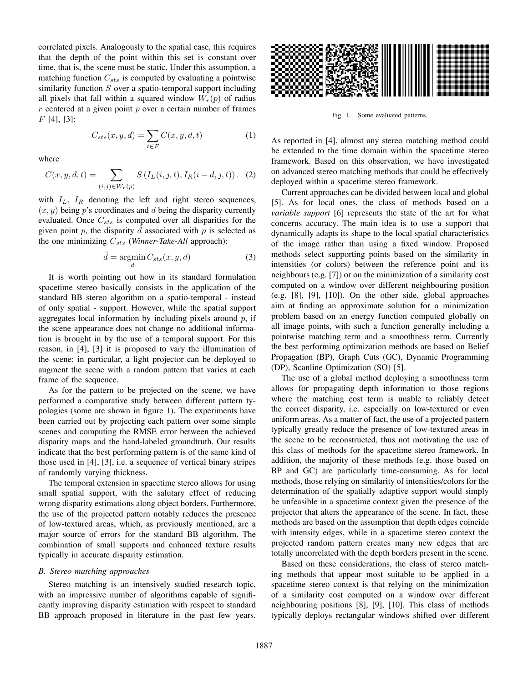correlated pixels. Analogously to the spatial case, this requires that the depth of the point within this set is constant over time, that is, the scene must be static. Under this assumption, a matching function *Csts* is computed by evaluating a pointwise similarity function *S* over a spatio-temporal support including all pixels that fall within a squared window  $W_r(p)$  of radius *r* centered at a given point *p* over a certain number of frames *F* [4], [3]:

$$
C_{sts}(x, y, d) = \sum_{t \in F} C(x, y, d, t)
$$
 (1)

where

$$
C(x, y, d, t) = \sum_{(i,j)\in W_r(p)} S\left(I_L(i,j,t), I_R(i-d,j,t)\right). (2)
$$

with  $I_L$ ,  $I_R$  denoting the left and right stereo sequences, (*x, y*) being *<sup>p</sup>*'s coordinates and *<sup>d</sup>* being the disparity currently evaluated. Once *Csts* is computed over all disparities for the given point *p*, the disparity  $\hat{d}$  associated with *p* is selected as the one minimizing *Csts* (*Winner-Take-All* approach):

$$
\hat{d} = \underset{d}{\text{argmin}} \, C_{sts}(x, y, d) \tag{3}
$$

It is worth pointing out how in its standard formulation spacetime stereo basically consists in the application of the standard BB stereo algorithm on a spatio-temporal - instead of only spatial - support. However, while the spatial support aggregates local information by including pixels around *p*, if the scene appearance does not change no additional information is brought in by the use of a temporal support. For this reason, in [4], [3] it is proposed to vary the illumination of the scene: in particular, a light projector can be deployed to augment the scene with a random pattern that varies at each frame of the sequence.

As for the pattern to be projected on the scene, we have performed a comparative study between different pattern typologies (some are shown in figure 1). The experiments have been carried out by projecting each pattern over some simple scenes and computing the RMSE error between the achieved disparity maps and the hand-labeled groundtruth. Our results indicate that the best performing pattern is of the same kind of those used in [4], [3], i.e. a sequence of vertical binary stripes of randomly varying thickness.

The temporal extension in spacetime stereo allows for using small spatial support, with the salutary effect of reducing wrong disparity estimations along object borders. Furthermore, the use of the projected pattern notably reduces the presence of low-textured areas, which, as previously mentioned, are a major source of errors for the standard BB algorithm. The combination of small supports and enhanced texture results typically in accurate disparity estimation.

#### *B. Stereo matching approaches*

Stereo matching is an intensively studied research topic, with an impressive number of algorithms capable of significantly improving disparity estimation with respect to standard BB approach proposed in literature in the past few years.



Fig. 1. Some evaluated patterns.

As reported in [4], almost any stereo matching method could be extended to the time domain within the spacetime stereo framework. Based on this observation, we have investigated on advanced stereo matching methods that could be effectively deployed within a spacetime stereo framework.

Current approaches can be divided between local and global [5]. As for local ones, the class of methods based on a *variable support* [6] represents the state of the art for what concerns accuracy. The main idea is to use a support that dynamically adapts its shape to the local spatial characteristics of the image rather than using a fixed window. Proposed methods select supporting points based on the similarity in intensities (or colors) between the reference point and its neighbours (e.g. [7]) or on the minimization of a similarity cost computed on a window over different neighbouring position (e.g. [8], [9], [10]). On the other side, global approaches aim at finding an approximate solution for a minimization problem based on an energy function computed globally on all image points, with such a function generally including a pointwise matching term and a smoothness term. Currently the best performing optimization methods are based on Belief Propagation (BP), Graph Cuts (GC), Dynamic Programming (DP), Scanline Optimization (SO) [5].

The use of a global method deploying a smoothness term allows for propagating depth information to those regions where the matching cost term is unable to reliably detect the correct disparity, i.e. especially on low-textured or even uniform areas. As a matter of fact, the use of a projected pattern typically greatly reduce the presence of low-textured areas in the scene to be reconstructed, thus not motivating the use of this class of methods for the spacetime stereo framework. In addition, the majority of these methods (e.g. those based on BP and GC) are particularly time-consuming. As for local methods, those relying on similarity of intensities/colors for the determination of the spatially adaptive support would simply be unfeasible in a spacetime context given the presence of the projector that alters the appearance of the scene. In fact, these methods are based on the assumption that depth edges coincide with intensity edges, while in a spacetime stereo context the projected random pattern creates many new edges that are totally uncorrelated with the depth borders present in the scene.

Based on these considerations, the class of stereo matching methods that appear most suitable to be applied in a spacetime stereo context is that relying on the minimization of a similarity cost computed on a window over different neighbouring positions [8], [9], [10]. This class of methods typically deploys rectangular windows shifted over different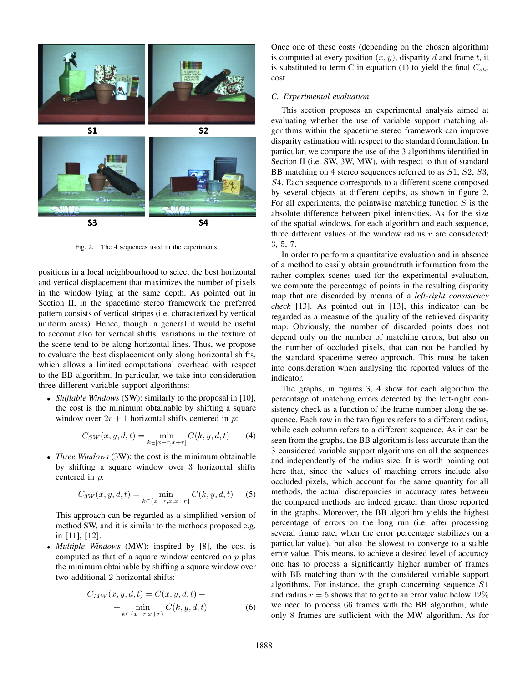

Fig. 2. The 4 sequences used in the experiments.

positions in a local neighbourhood to select the best horizontal and vertical displacement that maximizes the number of pixels in the window lying at the same depth. As pointed out in Section II, in the spacetime stereo framework the preferred pattern consists of vertical stripes (i.e. characterized by vertical uniform areas). Hence, though in general it would be useful to account also for vertical shifts, variations in the texture of the scene tend to be along horizontal lines. Thus, we propose to evaluate the best displacement only along horizontal shifts, which allows a limited computational overhead with respect to the BB algorithm. In particular, we take into consideration three different variable support algorithms:

• *Shiftable Windows* (SW): similarly to the proposal in [10], the cost is the minimum obtainable by shifting a square window over  $2r + 1$  horizontal shifts centered in *p*:

$$
C_{SW}(x, y, d, t) = \min_{k \in [x - r, x + r]} C(k, y, d, t)
$$
 (4)

• *Three Windows* (3W): the cost is the minimum obtainable by shifting a square window over 3 horizontal shifts centered in *p*:

$$
C_{3W}(x, y, d, t) = \min_{k \in \{x - r, x, x + r\}} C(k, y, d, t)
$$
 (5)

This approach can be regarded as a simplified version of method SW, and it is similar to the methods proposed e.g. in [11], [12].

• *Multiple Windows* (MW): inspired by [8], the cost is computed as that of a square window centered on *p* plus the minimum obtainable by shifting a square window over two additional 2 horizontal shifts:

$$
C_{MW}(x, y, d, t) = C(x, y, d, t) + \n+ \min_{k \in \{x - r, x + r\}} C(k, y, d, t)
$$
\n(6)

Once one of these costs (depending on the chosen algorithm) is computed at every position (*x, y*), disparity *<sup>d</sup>* and frame *<sup>t</sup>*, it is substituted to term C in equation (1) to yield the final *Csts* cost.

#### *C. Experimental evaluation*

This section proposes an experimental analysis aimed at evaluating whether the use of variable support matching algorithms within the spacetime stereo framework can improve disparity estimation with respect to the standard formulation. In particular, we compare the use of the 3 algorithms identified in Section II (i.e. SW, 3W, MW), with respect to that of standard BB matching on 4 stereo sequences referred to as *<sup>S</sup>*1, *<sup>S</sup>*2, *<sup>S</sup>*3, *<sup>S</sup>*4. Each sequence corresponds to a different scene composed by several objects at different depths, as shown in figure 2. For all experiments, the pointwise matching function *S* is the absolute difference between pixel intensities. As for the size of the spatial windows, for each algorithm and each sequence, three different values of the window radius *r* are considered: 3, 5, 7.

In order to perform a quantitative evaluation and in absence of a method to easily obtain groundtruth information from the rather complex scenes used for the experimental evaluation, we compute the percentage of points in the resulting disparity map that are discarded by means of a *left-right consistency check* [13]. As pointed out in [13], this indicator can be regarded as a measure of the quality of the retrieved disparity map. Obviously, the number of discarded points does not depend only on the number of matching errors, but also on the number of occluded pixels, that can not be handled by the standard spacetime stereo approach. This must be taken into consideration when analysing the reported values of the indicator.

The graphs, in figures 3, 4 show for each algorithm the percentage of matching errors detected by the left-right consistency check as a function of the frame number along the sequence. Each row in the two figures refers to a different radius, while each column refers to a different sequence. As it can be seen from the graphs, the BB algorithm is less accurate than the 3 considered variable support algorithms on all the sequences and independently of the radius size. It is worth pointing out here that, since the values of matching errors include also occluded pixels, which account for the same quantity for all methods, the actual discrepancies in accuracy rates between the compared methods are indeed greater than those reported in the graphs. Moreover, the BB algorithm yields the highest percentage of errors on the long run (i.e. after processing several frame rate, when the error percentage stabilizes on a particular value), but also the slowest to converge to a stable error value. This means, to achieve a desired level of accuracy one has to process a significantly higher number of frames with BB matching than with the considered variable support algorithms. For instance, the graph concerning sequence *<sup>S</sup>*1 and radius  $r = 5$  shows that to get to an error value below  $12\%$ we need to process 66 frames with the BB algorithm, while only 8 frames are sufficient with the MW algorithm. As for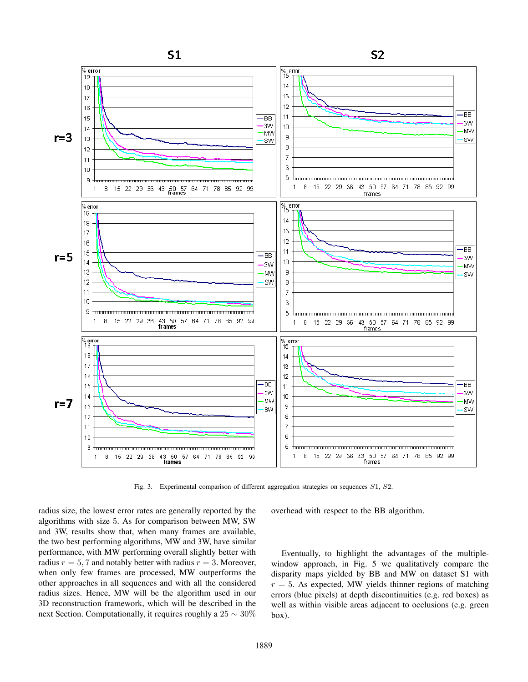

Fig. 3. Experimental comparison of different aggregation strategies on sequences *S*1, *S*2.

radius size, the lowest error rates are generally reported by the algorithms with size 5. As for comparison between MW, SW and 3W, results show that, when many frames are available, the two best performing algorithms, MW and 3W, have similar performance, with MW performing overall slightly better with radius  $r = 5, 7$  and notably better with radius  $r = 3$ . Moreover, when only few frames are processed, MW outperforms the other approaches in all sequences and with all the considered radius sizes. Hence, MW will be the algorithm used in our 3D reconstruction framework, which will be described in the next Section. Computationally, it requires roughly a  $25 \sim 30\%$  overhead with respect to the BB algorithm.

Eventually, to highlight the advantages of the multiplewindow approach, in Fig. 5 we qualitatively compare the disparity maps yielded by BB and MW on dataset S1 with  $r = 5$ . As expected, MW yields thinner regions of matching errors (blue pixels) at depth discontinuities (e.g. red boxes) as well as within visible areas adjacent to occlusions (e.g. green box).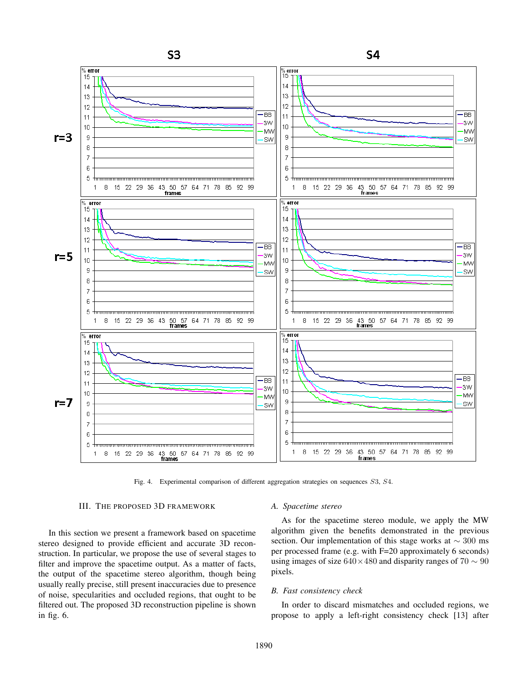

Fig. 4. Experimental comparison of different aggregation strategies on sequences *S*3, *S*4.

#### III. THE PROPOSED 3D FRAMEWORK

## *A. Spacetime stereo*

In this section we present a framework based on spacetime stereo designed to provide efficient and accurate 3D reconstruction. In particular, we propose the use of several stages to filter and improve the spacetime output. As a matter of facts, the output of the spacetime stereo algorithm, though being usually really precise, still present inaccuracies due to presence of noise, specularities and occluded regions, that ought to be filtered out. The proposed 3D reconstruction pipeline is shown in fig. 6.

As for the spacetime stereo module, we apply the MW algorithm given the benefits demonstrated in the previous section. Our implementation of this stage works at  $\sim$  300 ms per processed frame (e.g. with F=20 approximately 6 seconds) using images of size  $640\times480$  and disparity ranges of  $70\sim90$ pixels.

## *B. Fast consistency check*

In order to discard mismatches and occluded regions, we propose to apply a left-right consistency check [13] after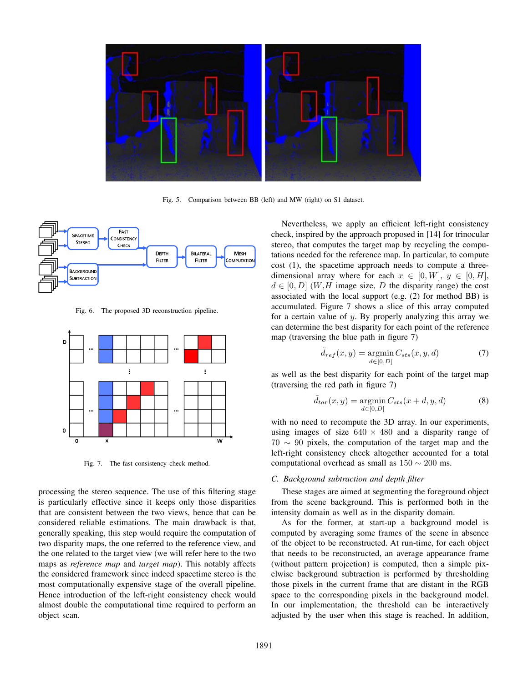

Fig. 5. Comparison between BB (left) and MW (right) on S1 dataset.



Fig. 6. The proposed 3D reconstruction pipeline.



Fig. 7. The fast consistency check method.

processing the stereo sequence. The use of this filtering stage is particularly effective since it keeps only those disparities that are consistent between the two views, hence that can be considered reliable estimations. The main drawback is that, generally speaking, this step would require the computation of two disparity maps, the one referred to the reference view, and the one related to the target view (we will refer here to the two maps as *reference map* and *target map*). This notably affects the considered framework since indeed spacetime stereo is the most computationally expensive stage of the overall pipeline. Hence introduction of the left-right consistency check would almost double the computational time required to perform an object scan.

Nevertheless, we apply an efficient left-right consistency check, inspired by the approach proposed in [14] for trinocular stereo, that computes the target map by recycling the computations needed for the reference map. In particular, to compute cost (1), the spacetime approach needs to compute a threedimensional array where for each  $x \in [0, W]$ ,  $y \in [0, H]$ ,  $d \in [0, D]$  (*W,H* image size, *D* the disparity range) the cost associated with the local support (e.g. (2) for method BB) is accumulated. Figure 7 shows a slice of this array computed for a certain value of *y*. By properly analyzing this array we can determine the best disparity for each point of the reference map (traversing the blue path in figure 7)

$$
\tilde{d}_{ref}(x,y) = \underset{d \in [0,D]}{\operatorname{argmin}} C_{sts}(x,y,d) \tag{7}
$$

as well as the best disparity for each point of the target map (traversing the red path in figure 7)

$$
\tilde{d}_{tar}(x,y) = \underset{d \in [0,D]}{\operatorname{argmin}} C_{sts}(x+d,y,d) \tag{8}
$$

with no need to recompute the 3D array. In our experiments, using images of size  $640 \times 480$  and a disparity range of  $70 \sim 90$  pixels, the computation of the target map and the left-right consistency check altogether accounted for a total computational overhead as small as  $150 \sim 200$  ms.

#### *C. Background subtraction and depth filter*

These stages are aimed at segmenting the foreground object from the scene background. This is performed both in the intensity domain as well as in the disparity domain.

As for the former, at start-up a background model is computed by averaging some frames of the scene in absence of the object to be reconstructed. At run-time, for each object that needs to be reconstructed, an average appearance frame (without pattern projection) is computed, then a simple pixelwise background subtraction is performed by thresholding those pixels in the current frame that are distant in the RGB space to the corresponding pixels in the background model. In our implementation, the threshold can be interactively adjusted by the user when this stage is reached. In addition,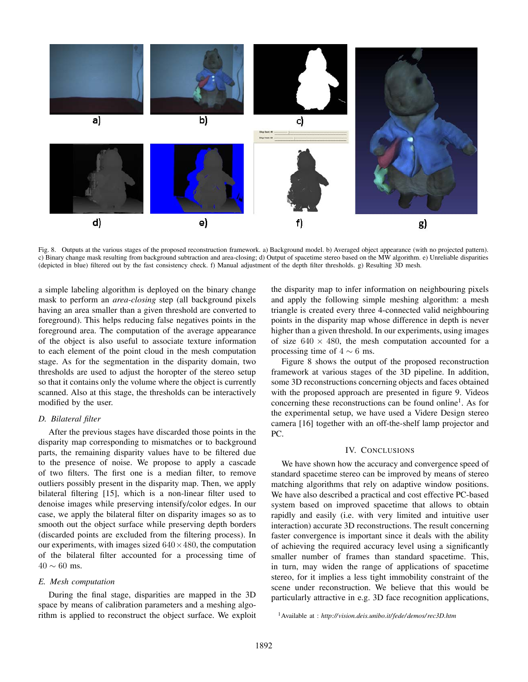

Fig. 8. Outputs at the various stages of the proposed reconstruction framework. a) Background model. b) Averaged object appearance (with no projected pattern). c) Binary change mask resulting from background subtraction and area-closing; d) Output of spacetime stereo based on the MW algorithm. e) Unreliable disparities (depicted in blue) filtered out by the fast consistency check. f) Manual adjustment of the depth filter thresholds. g) Resulting 3D mesh.

a simple labeling algorithm is deployed on the binary change mask to perform an *area-closing* step (all background pixels having an area smaller than a given threshold are converted to foreground). This helps reducing false negatives points in the foreground area. The computation of the average appearance of the object is also useful to associate texture information to each element of the point cloud in the mesh computation stage. As for the segmentation in the disparity domain, two thresholds are used to adjust the horopter of the stereo setup so that it contains only the volume where the object is currently scanned. Also at this stage, the thresholds can be interactively modified by the user.

## *D. Bilateral filter*

After the previous stages have discarded those points in the disparity map corresponding to mismatches or to background parts, the remaining disparity values have to be filtered due to the presence of noise. We propose to apply a cascade of two filters. The first one is a median filter, to remove outliers possibly present in the disparity map. Then, we apply bilateral filtering [15], which is a non-linear filter used to denoise images while preserving intensify/color edges. In our case, we apply the bilateral filter on disparity images so as to smooth out the object surface while preserving depth borders (discarded points are excluded from the filtering process). In our experiments, with images sized  $640 \times 480$ , the computation of the bilateral filter accounted for a processing time of  $40 \sim 60$  ms.

### *E. Mesh computation*

During the final stage, disparities are mapped in the 3D space by means of calibration parameters and a meshing algorithm is applied to reconstruct the object surface. We exploit the disparity map to infer information on neighbouring pixels and apply the following simple meshing algorithm: a mesh triangle is created every three 4-connected valid neighbouring points in the disparity map whose difference in depth is never higher than a given threshold. In our experiments, using images of size  $640 \times 480$ , the mesh computation accounted for a processing time of  $4 \sim 6$  ms.

Figure 8 shows the output of the proposed reconstruction framework at various stages of the 3D pipeline. In addition, some 3D reconstructions concerning objects and faces obtained with the proposed approach are presented in figure 9. Videos concerning these reconstructions can be found online1. As for the experimental setup, we have used a Videre Design stereo camera [16] together with an off-the-shelf lamp projector and PC.

# IV. CONCLUSIONS

We have shown how the accuracy and convergence speed of standard spacetime stereo can be improved by means of stereo matching algorithms that rely on adaptive window positions. We have also described a practical and cost effective PC-based system based on improved spacetime that allows to obtain rapidly and easily (i.e. with very limited and intuitive user interaction) accurate 3D reconstructions. The result concerning faster convergence is important since it deals with the ability of achieving the required accuracy level using a significantly smaller number of frames than standard spacetime. This, in turn, may widen the range of applications of spacetime stereo, for it implies a less tight immobility constraint of the scene under reconstruction. We believe that this would be particularly attractive in e.g. 3D face recognition applications,

1Available at : *http://vision.deis.unibo.it/fede/demos/rec3D.htm*